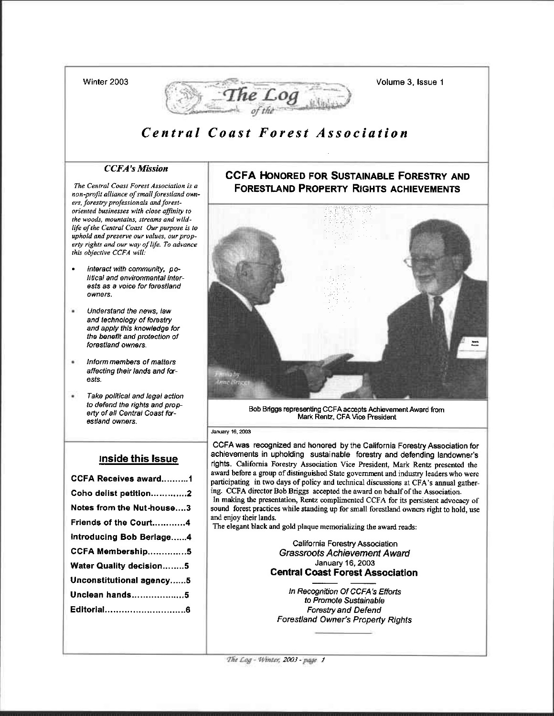Winter 2003



# Central Coast Forest Association

## **CCFA's Mission**

The Central Coast Forest Association is a non-profit alliance of small forestland owners, forestry professionals and forestoriented businesses with close affinity to the woods, mountains, streams and wildlife of the Central Coast Our purpose is to uphold and preserve our values, our property rights and our way of life. To advance this objective CCFA will:

- Interact with community, po- $\bullet$ litical and environmental interests as a voice for forestland owners.
- $\mathbf{r}$ Understand the news, law and technology of forestry and apply this knowledge for the benefit and protection of forestland owners.
- ¥ Inform members of matters affecting their lands and forests.
- ٠ Take political and legal action to defend the rights and property of all Central Coast forestland owners.

#### Inside this Issue

| <b>CCFA Receives award1</b> |
|-----------------------------|
| Coho delist petition2       |
| Notes from the Nut-house3   |
| Friends of the Court…………4   |
| Introducing Bob Berlage4    |
| CCFA Membership5            |
| Water Quality decision5     |
| Unconstitutional agency…5   |
| Unclean hands5              |
|                             |
|                             |
|                             |

## **CCFA HONORED FOR SUSTAINABLE FORESTRY AND FORESTLAND PROPERTY RIGHTS ACHIEVEMENTS**

Volume 3. Issue 1



Bob Briggs representing CCFA accepts Achievement Award from Mark Rentz, CFA Vice President

#### January 16, 2003

CCFA was recognized and honored by the California Forestry Association for achievements in upholding sustainable forestry and defending landowner's rights. California Forestry Association Vice President, Mark Rentz presented the award before a group of distinguished State government and industry leaders who were participating in two days of policy and technical discussions at CFA's annual gathering. CCFA director Bob Briggs accepted the award on behalf of the Association. In making the presentation, Rentz complimented CCFA for its persistent advocacy of sound forest practices while standing up for small forestland owners right to hold, use and enjoy their lands.

The elegant black and gold plaque memorializing the award reads:

California Forestry Association **Grassroots Achievement Award** January 16, 2003 **Central Coast Forest Association** 

In Recognition Of CCFA's Efforts to Promote Sustainable **Forestry and Defend Forestland Owner's Property Rights** 

The Log - Winter, 2003 - page 1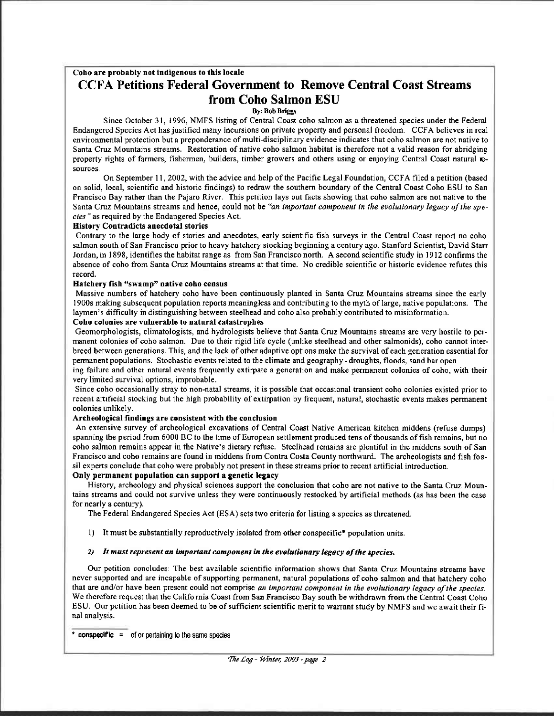## Coho are probably not indigenous to this locale **CCFA Petitions Federal Government to Remove Central Coast Streams** from Coho Salmon ESU

#### **By: Bob Briggs**

Since October 31, 1996, NMFS listing of Central Coast coho salmon as a threatened species under the Federal Endangered Species Act has justified many incursions on private property and personal freedom. CCFA believes in real environmental protection but a preponderance of multi-disciplinary evidence indicates that coho salmon are not native to Santa Cruz Mountains streams. Restoration of native coho salmon habitat is therefore not a valid reason for abridging property rights of farmers, fishermen, builders, timber growers and others using or enjoying Central Coast natural resources.

On September 11, 2002, with the advice and help of the Pacific Legal Foundation, CCFA filed a petition (based on solid, local, scientific and historic findings) to redraw the southern boundary of the Central Coast Coho ESU to San Francisco Bay rather than the Pajaro River. This petition lays out facts showing that coho salmon are not native to the Santa Cruz Mountains streams and hence, could not be "an important component in the evolutionary legacy of the species" as required by the Endangered Species Act.

#### **History Contradicts anecdotal stories**

Contrary to the large body of stories and anecdotes, early scientific fish surveys in the Central Coast report no coho salmon south of San Francisco prior to heavy hatchery stocking beginning a century ago. Stanford Scientist, David Starr Jordan, in 1898, identifies the habitat range as from San Francisco north. A second scientific study in 1912 confirms the absence of coho from Santa Cruz Mountains streams at that time. No credible scientific or historic evidence refutes this record.

#### Hatchery fish "swamp" native coho census

Massive numbers of hatchery coho have been continuously planted in Santa Cruz Mountains streams since the early 1900s making subsequent population reports meaningless and contributing to the myth of large, native populations. The laymen's difficulty in distinguishing between steelhead and coho also probably contributed to misinformation.

#### Coho colonies are vulnerable to natural catastrophes

Geomorphologists, climatologists, and hydrologists believe that Santa Cruz Mountains streams are very hostile to permanent colonies of coho salmon. Due to their rigid life cycle (unlike steelhead and other salmonids), coho cannot interbreed between generations. This, and the lack of other adaptive options make the survival of each generation essential for permanent populations. Stochastic events related to the climate and geography - droughts, floods, sand bar open

ing failure and other natural events frequently extirpate a generation and make permanent colonies of coho, with their very limited survival options, improbable.

Since coho occasionally stray to non-natal streams, it is possible that occasional transient coho colonies existed prior to recent artificial stocking but the high probability of extirpation by frequent, natural, stochastic events makes permanent colonies unlikely.

#### Archeological findings are consistent with the conclusion

An extensive survey of archeological excavations of Central Coast Native American kitchen middens (refuse dumps) spanning the period from 6000 BC to the time of European settlement produced tens of thousands of fish remains, but no coho salmon remains appear in the Native's dietary refuse. Steelhead remains are plentiful in the middens south of San Francisco and coho remains are found in middens from Contra Costa County northward. The archeologists and fish fossil experts conclude that coho were probably not present in these streams prior to recent artificial introduction.

#### Only permanent population can support a genetic legacy

History, archeology and physical sciences support the conclusion that coho are not native to the Santa Cruz Mountains streams and could not survive unless they were continuously restocked by artificial methods (as has been the case for nearly a century).

The Federal Endangered Species Act (ESA) sets two criteria for listing a species as threatened.

1) It must be substantially reproductively isolated from other conspecific\* population units.

#### 2) It must represent an important component in the evolutionary legacy of the species.

Our petition concludes: The best available scientific information shows that Santa Cruz Mountains streams have never supported and are incapable of supporting permanent, natural populations of coho salmon and that hatchery coho that are and/or have been present could not comprise an important component in the evolutionary legacy of the species. We therefore request that the California Coast from San Francisco Bay south be withdrawn from the Central Coast Coho ESU. Our petition has been deemed to be of sufficient scientific merit to warrant study by NMFS and we await their final analysis.

\* conspecific =  $\circ$  of or pertaining to the same species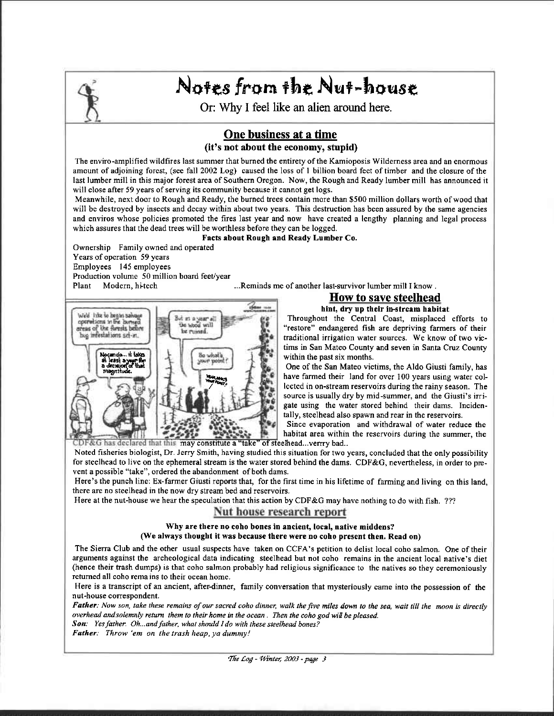

# Notes from the Nut-house

Or: Why I feel like an alien around here.

## One business at a time (it's not about the economy, stupid)

The enviro-amplified wildfires last summer that burned the entirety of the Kamioposis Wilderness area and an enormous amount of adjoining forest, (see fall 2002 Log) caused the loss of 1 billion board feet of timber and the closure of the last lumber mill in this major forest area of Southern Oregon. Now, the Rough and Ready lumber mill has announced it will close after 59 years of serving its community because it cannot get logs.

Meanwhile, next door to Rough and Ready, the burned trees contain more than \$500 million dollars worth of wood that will be destroyed by insects and decay within about two years. This destruction has been assured by the same agencies and enviros whose policies promoted the fires last year and now have created a lengthy planning and legal process which assures that the dead trees will be worthless before they can be logged.

#### Facts about Rough and Ready Lumber Co.

Ownership Family owned and operated Years of operation 59 years Employees 145 employees Production volume 50 million board feet/year Plant Modern, hitech

...Reminds me of another last-survivor lumber mill I know.



#### **How to save steelhead** hint, dry up their in-stream habitat

Throughout the Central Coast, misplaced efforts to "restore" endangered fish are depriving farmers of their traditional irrigation water sources. We know of two victims in San Mateo County and seven in Santa Cruz County within the past six months.

One of the San Mateo victims, the Aldo Giusti family, has have farmed their land for over 100 years using water collected in on-stream reservoirs during the rainy season. The source is usually dry by mid-summer, and the Giusti's irrigate using the water stored behind their dams. Incidentally, steelhead also spawn and rear in the reservoirs.

Since evaporation and withdrawal of water reduce the habitat area within the reservoirs during the summer, the CDF&G has declared that this may constitute a "take" of steelhead...verrry bad..

Noted fisheries biologist, Dr. Jerry Smith, having studied this situation for two years, concluded that the only possibility for steelhead to live on the ephemeral stream is the water stored behind the dams. CDF&G, nevertheless, in order to prevent a possible "take", ordered the abandonment of both dams.

Here's the punch line: Ex-farmer Giusti reports that, for the first time in his lifetime of farming and living on this land, there are no steelhead in the now dry stream bed and reservoirs.

Here at the nut-house we hear the speculation that this action by CDF&G may have nothing to do with fish. ???

## Nut house research report

#### Why are there no coho bones in ancient, local, native middens? (We always thought it was because there were no coho present then. Read on)

The Sierra Club and the other usual suspects have taken on CCFA's petition to delist local coho salmon. One of their arguments against the archeological data indicating steelhead but not coho remains in the ancient local native's diet (hence their trash dumps) is that coho salmon probably had religious significance to the natives so they ceremoniously returned all coho remains to their ocean home.

Here is a transcript of an ancient, after-dinner, family conversation that mysteriously came into the possession of the nut-house correspondent.

Father: Now son, take these remains of our sacred coho dinner, walk the five miles down to the sea, wait till the moon is directly overhead and solemnly return them to their home in the ocean. Then the coho god will be pleased. Son: Yes father. Oh...and father, what should I do with these steelhead bones?

Father: Throw 'em on the trash heap, ya dummy!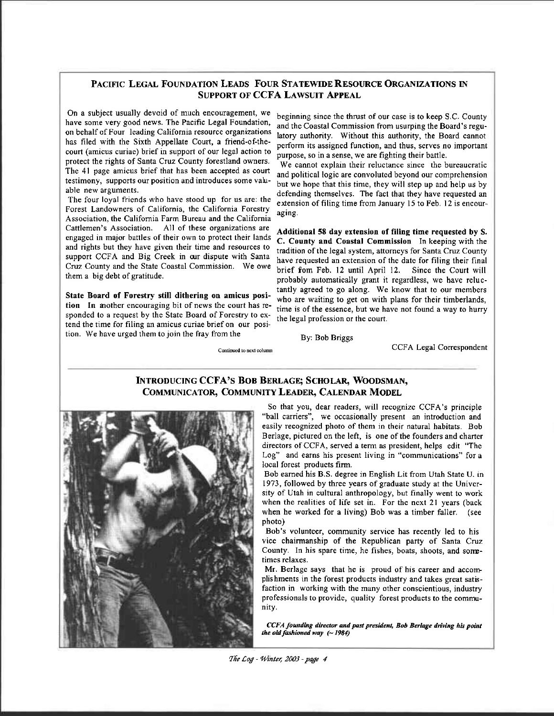## PACIFIC LEGAL FOUNDATION LEADS FOUR STATEWIDE RESOURCE ORGANIZATIONS IN SUPPoRT oF CCFA LAWSUIT APPEAL

On a subject usually devoid of much encowagement, we have some very good news. The Pacific Legal Foundation, on behalf of Four leading Califomia resource organizations has filed with the Sixth Appellate Court, a friend-of-thecourt (amicus curiae) brief in support of our legal action to protect the rights of Santa Cruz County forestland owners. The 41 page amicus brief that has been accepted as court testimony, supports our position and introduces some valuable new arguments.

The four loyal friends who have stood up for us are: the Forest Landowners of California, the Califomia Forestry Association, the California Farm Bureau and the California Cattlemen's Association. All of these organizations are engaged in major battles of their own to protect their lands and rights but they have given their time and resources to support CCFA and Big Creek in our dispute with Santa Cruz County and the State Coastal Commission. We owe them a big debt of gratitude.

State Board of Forestry still dithering on amicus position In another encouraging bit of news the court has responded to a request by the State Board of Forestry to extend the time for filing an amicus curiae brief on our position. We have urged them to join the fray from the

beginning since the thrust of our case is to keep S,C. County and the Coastal Commission from usurping the Board's regulatory authority. Without this authority, the Board cannot perform its assigned function, and thus, serves no important purpose, so in a sense, we are fighting their battle.

We cannot explain their reluctance since the bureaucratic and political logic are convoluted beyond our comprehension but we hope that this time, they will step up and help us by defending themselves. The fact that they have requested an extension of filing time from January 15 to Feb. 12 is encouraging.

Additional 58 day extension of filing time requested by S. C. County and Coastal Commission In keeping with the tradition of the legal system, attorneys for Santa Cruz County have requested an extension of the date for filing their final brief fom Feb. 12 until April 12. Since the Court will probably automatically grant it regardless, we have reluctantly agreed to go along. We know that to our members who are waiting to get on with plans for their timberlands, time is of the essence, but we have not found a way to hurry the legal profession or the court.

By: Bob Briggs

CCFA Legal Correspondent

#### Continued to next column

## INTRODUCING CCFA'S BOB BERLAGE; SCHOLAR, WOODSMAN, COMMUNICATOR, COMMUNITY LEADER, CALENDAR MODEL



So that you, dear readers, will recognize CCFA's principle "ball carriers", we occasionally present an introduction and easily recognized photo of them in their natural habitats. Bob Berlage, pictured on the left, is one of the founders and charter directors of CCFA, served a term as president, helps edit "The Log" and earns his present living in "communications" for a local forest products firm.

Bob eamed his B.S. degree in English Lit from Utah State U. in 1973, followed by three years of graduate study at the Uniyersity of Utah in cultural anthropology, but finally went to work when the realities of life set in. For the next 2l years (back when he worked for a living) Bob was a timber faller. (see photo)

Bob's volunteer, community service has recently led to his vice chairmanship of the Republican party of Santa Cruz County. In his spare time, he fishes, boats, shoots, and sometimes relaxes.

Mr. Berlage says that he is proud of his career and accomplishments in the forest products industry and takes great satisfaction in working with the many other conscientious, industry professionals to provide, quality forest products to the community.

CCFA founding director and past president, Bob Berlage driving his point the old fashioned way  $( \sim 1984)$ 

The Log - Winter, 2003 - page 4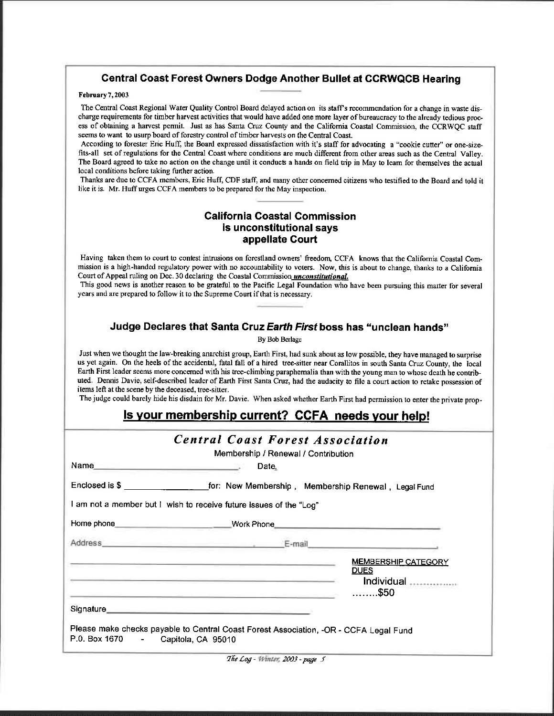## Gentral Coast Forest Owners Dodge Another Bullet at CCRWQCB Hearing

#### February7,2003

The Central Coast Regional Water Quality Control Board delayed action on its staff's recommendation for a change in waste discharge requirements for timber harvest activities that would have added one more layer of bureaucracy to the already tedious process of obtaining a hawest permit. Just as has Sarta Cruz County and the Califomia Coastal Commission, the CCRWQC stafr seems to want to usurp board of forestry control of timber harvests on the Central Coast.

According to forester Eric Huff, the Board expressed dissatisfaction with it's staff for advocating a "cookie cutter" or one-sizefits-all set of regulations for the Central Coast where conditions are much different from other areas such as the Central Valley. The Board agreed to take no action on the change until it conducts a hands on field trip in May to learn for themselves the actual local conditions before taking further action.

Thanks are due to CCFA mehbers, Eric Huff, CDF staff, and many other concemed citizens who testified to the Boad and told it like it is. Mr. Huff urges CCFA members to be prepared for the May inspection.

## Galifornia Goastal Commission is unconstitutional says appellate Court

Having taken them to court to contest intrusions on forestland owners' freedom, CCFA knows that the California Coastal Commission is a high-handed regulatory power with no accountability to voters. Now, this is about to change, thanks to a California Court of Appeal ruling on Dec. 30 declaring the Coastal Commission *unconstitutional*.

This good news is another reason to be grateful to the Pacific Legal Foundation who have been pursuing this matter for several years and are prepared to follow it to the Supreme Court if that is necessary.

## Judge Declares that Santa Cruz Earth First boss has "unclean hands"

By Bob Berlage

Just when we thought the law-breaking anarchist grow, Earth First, had sunk about as low possible, they have managed to surprise us yet again. On the heels of the accidental, fatal fall of a hired tree-sitter near Corallitos in south Santa Cruz County, the local Earth First leader seems more concerned with his tree-climbing paraphernalia than with the young man to whose death he contributed. Dennis Davie, self-described leader of Earth First Santa Cruz, had the audacity to file a court action to retake possession of items left at the scene by the deceased, tree-sitter.

The judge could barely hide his disdain for Mr. Davie. When asked whether Earth First had permission to enter the private prop-

## ls vour membership current? CGFA needs vour help!

|                                    | <b>Central Coast Forest Association</b>                                                                                                                                                            |                                    |
|------------------------------------|----------------------------------------------------------------------------------------------------------------------------------------------------------------------------------------------------|------------------------------------|
|                                    | Membership / Renewal / Contribution                                                                                                                                                                |                                    |
|                                    | Date.                                                                                                                                                                                              |                                    |
|                                    |                                                                                                                                                                                                    |                                    |
|                                    | I am not a member but I wish to receive future issues of the "Log"                                                                                                                                 |                                    |
|                                    |                                                                                                                                                                                                    |                                    |
|                                    |                                                                                                                                                                                                    |                                    |
|                                    | <u> 1989 - Andrea Stadt Britain, marwolaethau a chwaraeth a chwaraeth a chwaraeth a chwaraeth a chwaraeth a chwar</u>                                                                              | <b>MEMBERSHIP CATEGORY</b>         |
|                                    | <u> 1980 - Jan James Barnett, amerikan basar pada p</u>                                                                                                                                            | <b>DUES</b>                        |
|                                    | <u> 1989 - Andrea Angelsen, markanista alemanista (h. 1989)</u>                                                                                                                                    | Individual<br>$\ldots \ldots$ \$50 |
|                                    | Signature <b>Signature Signature Signature Signature Signature Signature Signature Signature Signature Signature Signature Signature Signature Signature Signature Signature Signature Signatu</b> |                                    |
| P.0. Box 1670 - Capitola, CA 95010 | Please make checks payable to Central Coast Forest Association, -OR - CCFA Legal Fund                                                                                                              |                                    |

The Log - Winter, 2003 - page 5